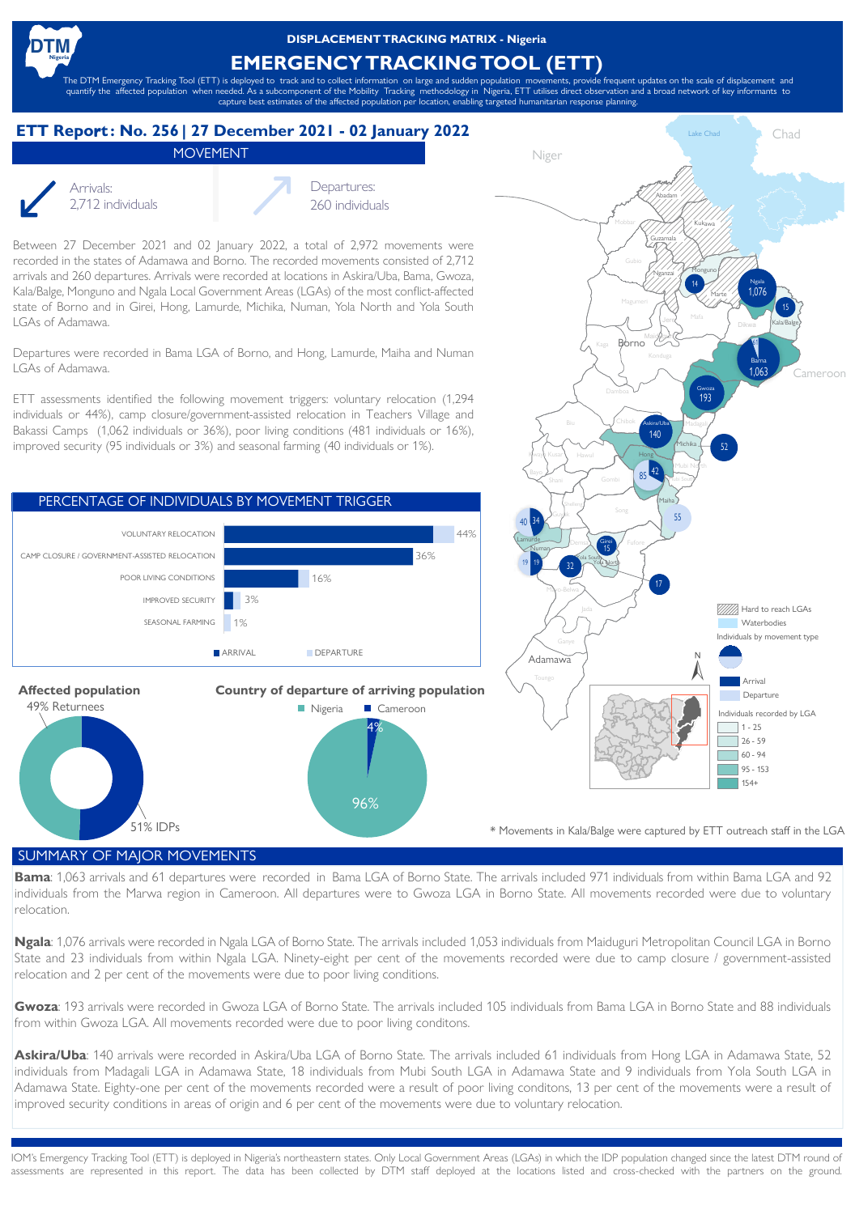**DISPLACEMENTTRACKING MATRIX - Nigeria**

## **EMERGENCY TRACKING TOOL (ETT)**

The DTM Emergency Tracking Tool (ETT) is deployed to track and to collect information on large and sudden population movements, provide frequent updates on the scale of displacement and quantify the affected population when needed. As a subcomponent of the Mobility Tracking methodology in Nigeria, ETT utilises direct observation and a broad network of key informants to capture best estimates of the affected population per location, enabling targeted humanitarian response planning.

## **ETT Reportr : No. 256 | 27 December 2021 - 02 January 2022**

MOVEMENT



Arrivals: Departures:

2,712 individuals 260 individuals

Between 27 December 2021 and 02 January 2022, a total of 2,972 movements were recorded in the states of Adamawa and Borno. The recorded movements consisted of 2,712 arrivals and 260 departures. Arrivals were recorded at locations in Askira/Uba, Bama, Gwoza, Kala/Balge, Monguno and Ngala Local Government Areas (LGAs) of the most conflict-affected state of Borno and in Girei, Hong, Lamurde, Michika, Numan, Yola North and Yola South LGAs of Adamawa.

Departures were recorded in Bama LGA of Borno, and Hong, Lamurde, Maiha and Numan LGAs of Adamawa.

ETT assessments identified the following movement triggers: voluntary relocation (1,294 individuals or 44%), camp closure/government-assisted relocation in Teachers Village and Bakassi Camps (1,062 individuals or 36%), poor living conditions (481 individuals or 16%), improved security (95 individuals or 3%) and seasonal farming (40 individuals or 1%).







\* Movements in Kala/Balge were captured by ETT outreach staff in the LGA

## SUMMARY OF MAJOR MOVEMENTS

**Bama**: 1,063 arrivals and 61 departures were recorded in Bama LGA of Borno State. The arrivals included 971 individuals from within Bama LGA and 92 individuals from the Marwa region in Cameroon. All departures were to Gwoza LGA in Borno State. All movements recorded were due to voluntary relocation.

**Ngala**: 1,076 arrivals were recorded in Ngala LGA of Borno State. The arrivals included 1,053 individuals from Maiduguri Metropolitan Council LGA in Borno State and 23 individuals from within Ngala LGA. Ninety-eight per cent of the movements recorded were due to camp closure / government-assisted relocation and 2 per cent of the movements were due to poor living conditions.

**Gwoza**: 193 arrivals were recorded in Gwoza LGA of Borno State. The arrivals included 105 individuals from Bama LGA in Borno State and 88 individuals from within Gwoza LGA. All movements recorded were due to poor living conditons.

**Askira/Uba**: 140 arrivals were recorded in Askira/Uba LGA of Borno State. The arrivals included 61 individuals from Hong LGA in Adamawa State, 52 individuals from Madagali LGA in Adamawa State, 18 individuals from Mubi South LGA in Adamawa State and 9 individuals from Yola South LGA in Adamawa State. Eighty-one per cent of the movements recorded were a result of poor living conditons, 13 per cent of the movements were a result of improved security conditions in areas of origin and 6 per cent of the movements were due to voluntary relocation.

IOM's Emergency Tracking Tool (ETT) is deployed in Nigeria's northeastern states. Only Local Government Areas (LGAs) in which the IDP population changed since the latest DTM round of assessments are represented in this report. The data has been collected by DTM staff deployed at the locations listed and cross-checked with the partners on the ground.